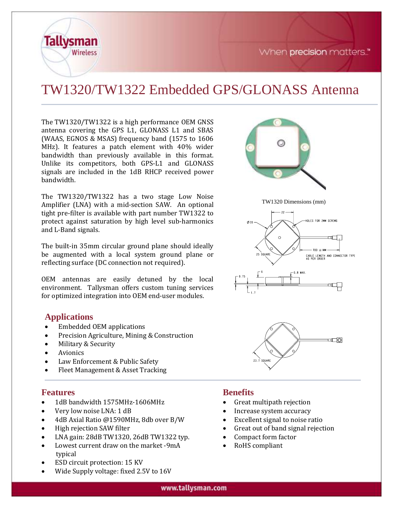When precision matters."

TW1320 Dimensions (mm)

HOLES FOR 2MM SCREWS

 $TBD + TWW$ 

on ∏

≔⊡

CABLE LENGTH AND CONNECTOR TYPE<br>AS PER ORDER

# TW1320/TW1322 Embedded GPS/GLONASS Antenna

The TW1320/TW1322 is a high performance OEM GNSS antenna covering the GPS L1, GLONASS L1 and SBAS (WAAS, EGNOS & MSAS) frequency band (1575 to 1606 MHz). It features a patch element with 40% wider bandwidth than previously available in this format. Unlike its competitors, both GPS-L1 and GLONASS signals are included in the 1dB RHCP received power bandwidth.

The TW1320/TW1322 has a two stage Low Noise Amplifier (LNA) with a mid-section SAW. An optional tight pre-filter is available with part number TW1322 to protect against saturation by high level sub-harmonics and L-Band signals.

The built-in 35mm circular ground plane should ideally be augmented with a local system ground plane or reflecting surface (DC connection not required).

OEM antennas are easily detuned by the local environment. Tallysman offers custom tuning services for optimized integration into OEM end-user modules.

#### **Applications**

**Tallysman** 

**Wireless** 

- Embedded OEM applications
- Precision Agriculture, Mining & Construction
- Military & Security
- **Avionics**
- Law Enforcement & Public Safety
- Fleet Management & Asset Tracking

#### **Features**

- 1dB bandwidth 1575MHz-1606MHz
- Very low noise LNA: 1 dB
- 4dB Axial Ratio @1590MHz, 8db over B/W
- High rejection SAW filter
- LNA gain: 28dB TW1320, 26dB TW1322 typ.
- Lowest current draw on the market -9mA typical
- ESD circuit protection: 15 KV
- Wide Supply voltage: fixed 2.5V to 16V

## **Benefits**

 $0.35$ 

• Great multipath rejection

 $23.7$  SQUARE

- Increase system accuracy
- Excellent signal to noise ratio
- Great out of band signal rejection
- Compact form factor
- RoHS compliant